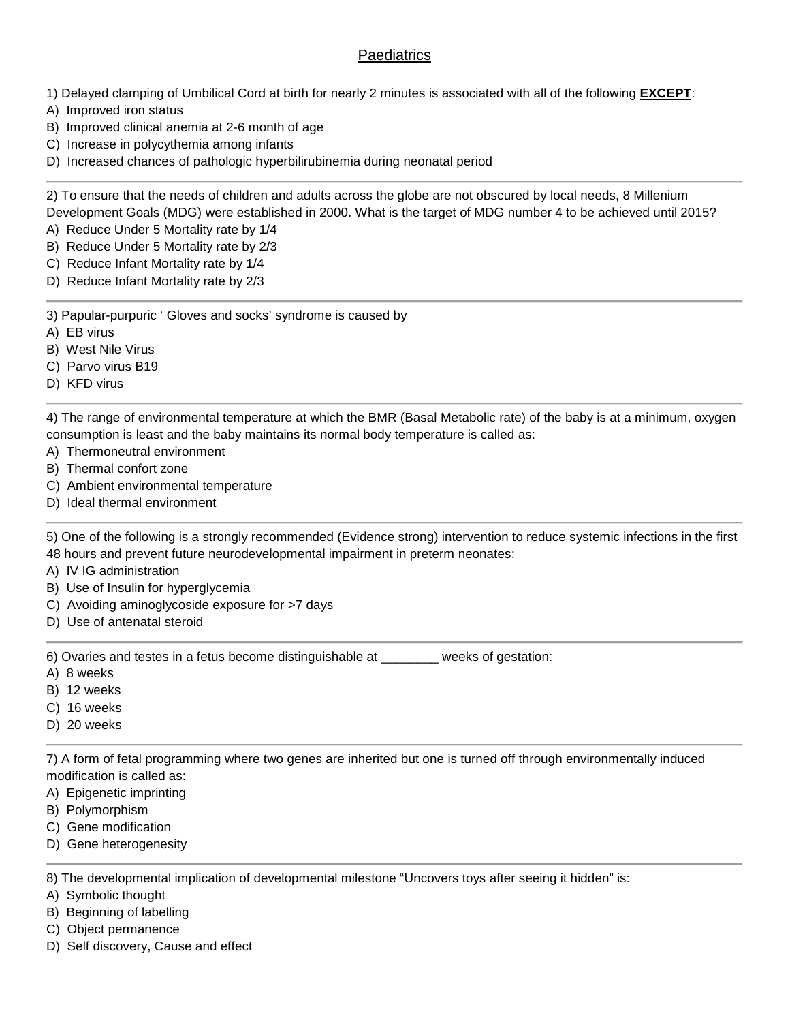## **Paediatrics**

- 1) Delayed clamping of Umbilical Cord at birth for nearly 2 minutes is associated with all of the following **EXCEPT**:
- A) Improved iron status
- B) Improved clinical anemia at 2-6 month of age
- C) Increase in polycythemia among infants
- D) Increased chances of pathologic hyperbilirubinemia during neonatal period

2) To ensure that the needs of children and adults across the globe are not obscured by local needs, 8 Millenium Development Goals (MDG) were established in 2000. What is the target of MDG number 4 to be achieved until 2015?

- A) Reduce Under 5 Mortality rate by 1/4
- B) Reduce Under 5 Mortality rate by 2/3
- C) Reduce Infant Mortality rate by 1/4
- D) Reduce Infant Mortality rate by 2/3

3) Papular-purpuric ' Gloves and socks' syndrome is caused by

- A) EB virus
- B) West Nile Virus
- C) Parvo virus B19
- D) KFD virus

4) The range of environmental temperature at which the BMR (Basal Metabolic rate) of the baby is at a minimum, oxygen consumption is least and the baby maintains its normal body temperature is called as:

- A) Thermoneutral environment
- B) Thermal confort zone
- C) Ambient environmental temperature
- D) Ideal thermal environment

5) One of the following is a strongly recommended (Evidence strong) intervention to reduce systemic infections in the first 48 hours and prevent future neurodevelopmental impairment in preterm neonates:

- A) IV IG administration
- B) Use of Insulin for hyperglycemia
- C) Avoiding aminoglycoside exposure for >7 days
- D) Use of antenatal steroid

6) Ovaries and testes in a fetus become distinguishable at \_\_\_\_\_\_\_\_ weeks of gestation:

- A) 8 weeks
- B) 12 weeks
- C) 16 weeks
- D) 20 weeks

7) A form of fetal programming where two genes are inherited but one is turned off through environmentally induced modification is called as:

- A) Epigenetic imprinting
- B) Polymorphism
- C) Gene modification
- D) Gene heterogenesity

8) The developmental implication of developmental milestone "Uncovers toys after seeing it hidden" is:

- A) Symbolic thought
- B) Beginning of labelling
- C) Object permanence
- D) Self discovery, Cause and effect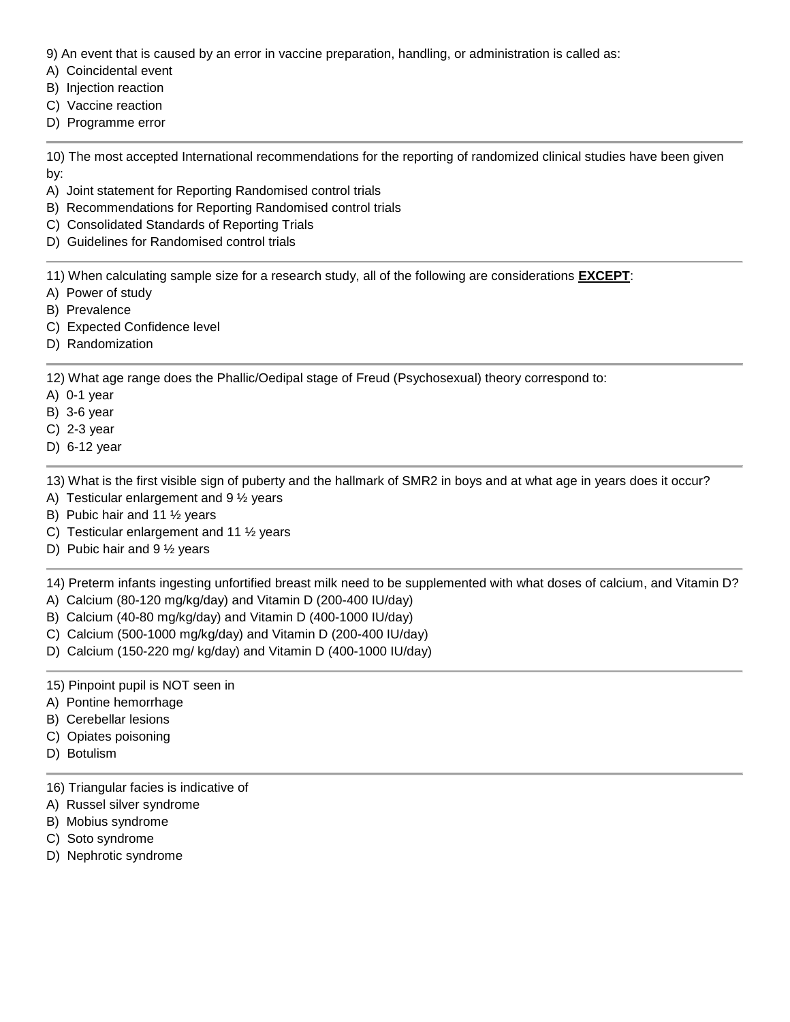9) An event that is caused by an error in vaccine preparation, handling, or administration is called as:

- A) Coincidental event
- B) Injection reaction
- C) Vaccine reaction
- D) Programme error

10) The most accepted International recommendations for the reporting of randomized clinical studies have been given by:

- A) Joint statement for Reporting Randomised control trials
- B) Recommendations for Reporting Randomised control trials
- C) Consolidated Standards of Reporting Trials
- D) Guidelines for Randomised control trials

11) When calculating sample size for a research study, all of the following are considerations **EXCEPT**:

- A) Power of study
- B) Prevalence
- C) Expected Confidence level
- D) Randomization

12) What age range does the Phallic/Oedipal stage of Freud (Psychosexual) theory correspond to:

- A) 0-1 year
- B) 3-6 year
- C) 2-3 year
- D) 6-12 year

13) What is the first visible sign of puberty and the hallmark of SMR2 in boys and at what age in years does it occur?

- A) Testicular enlargement and 9 ½ years
- B) Pubic hair and 11 ½ years
- C) Testicular enlargement and 11 ½ years
- D) Pubic hair and 9 ½ years

14) Preterm infants ingesting unfortified breast milk need to be supplemented with what doses of calcium, and Vitamin D?

- A) Calcium (80-120 mg/kg/day) and Vitamin D (200-400 IU/day)
- B) Calcium (40-80 mg/kg/day) and Vitamin D (400-1000 IU/day)
- C) Calcium (500-1000 mg/kg/day) and Vitamin D (200-400 IU/day)
- D) Calcium (150-220 mg/ kg/day) and Vitamin D (400-1000 IU/day)

15) Pinpoint pupil is NOT seen in

- A) Pontine hemorrhage
- B) Cerebellar lesions
- C) Opiates poisoning
- D) Botulism
- 16) Triangular facies is indicative of
- A) Russel silver syndrome
- B) Mobius syndrome
- C) Soto syndrome
- D) Nephrotic syndrome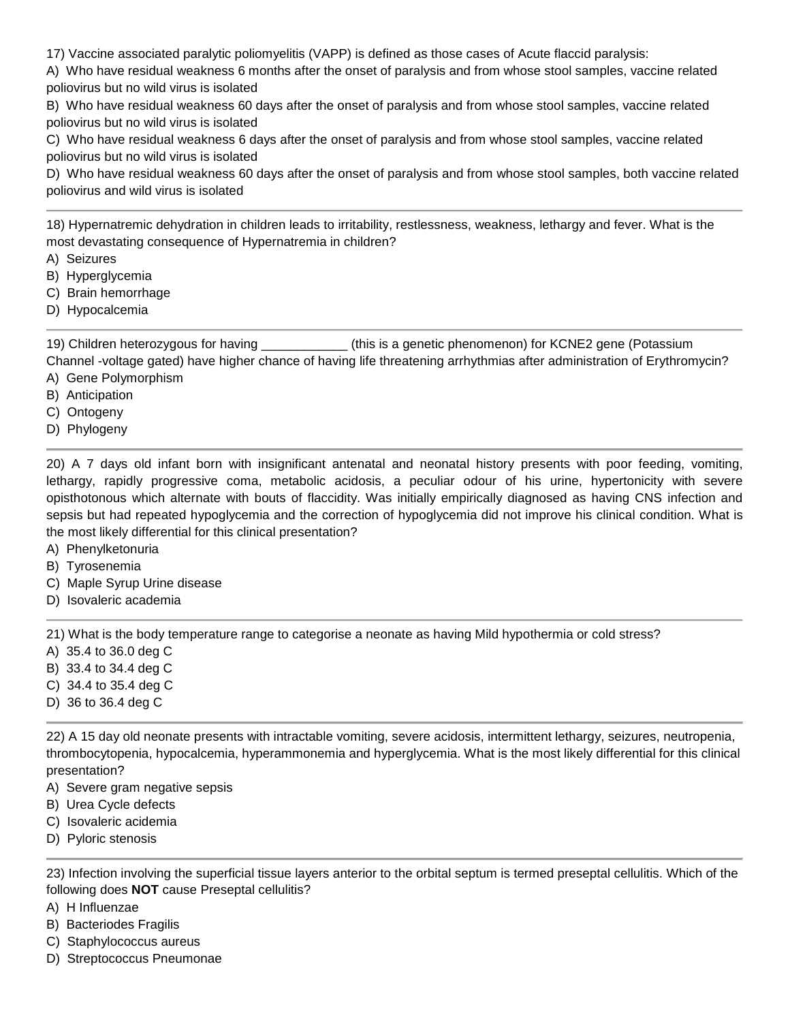17) Vaccine associated paralytic poliomyelitis (VAPP) is defined as those cases of Acute flaccid paralysis:

A) Who have residual weakness 6 months after the onset of paralysis and from whose stool samples, vaccine related poliovirus but no wild virus is isolated

B) Who have residual weakness 60 days after the onset of paralysis and from whose stool samples, vaccine related poliovirus but no wild virus is isolated

C) Who have residual weakness 6 days after the onset of paralysis and from whose stool samples, vaccine related poliovirus but no wild virus is isolated

D) Who have residual weakness 60 days after the onset of paralysis and from whose stool samples, both vaccine related poliovirus and wild virus is isolated

18) Hypernatremic dehydration in children leads to irritability, restlessness, weakness, lethargy and fever. What is the most devastating consequence of Hypernatremia in children?

- A) Seizures
- B) Hyperglycemia
- C) Brain hemorrhage
- D) Hypocalcemia

19) Children heterozygous for having **the set of the set of the set of the set of the set of the set of the set o** 

Channel -voltage gated) have higher chance of having life threatening arrhythmias after administration of Erythromycin? A) Gene Polymorphism

- B) Anticipation
- C) Ontogeny
- D) Phylogeny

20) A 7 days old infant born with insignificant antenatal and neonatal history presents with poor feeding, vomiting, lethargy, rapidly progressive coma, metabolic acidosis, a peculiar odour of his urine, hypertonicity with severe opisthotonous which alternate with bouts of flaccidity. Was initially empirically diagnosed as having CNS infection and sepsis but had repeated hypoglycemia and the correction of hypoglycemia did not improve his clinical condition. What is the most likely differential for this clinical presentation?

- A) Phenylketonuria
- B) Tyrosenemia
- C) Maple Syrup Urine disease
- D) Isovaleric academia

21) What is the body temperature range to categorise a neonate as having Mild hypothermia or cold stress?

- A) 35.4 to 36.0 deg C
- B) 33.4 to 34.4 deg C
- C) 34.4 to 35.4 deg C
- D) 36 to 36.4 deg C

22) A 15 day old neonate presents with intractable vomiting, severe acidosis, intermittent lethargy, seizures, neutropenia, thrombocytopenia, hypocalcemia, hyperammonemia and hyperglycemia. What is the most likely differential for this clinical presentation?

- A) Severe gram negative sepsis
- B) Urea Cycle defects
- C) Isovaleric acidemia
- D) Pyloric stenosis

23) Infection involving the superficial tissue layers anterior to the orbital septum is termed preseptal cellulitis. Which of the following does **NOT** cause Preseptal cellulitis?

- A) H Influenzae
- B) Bacteriodes Fragilis
- C) Staphylococcus aureus
- D) Streptococcus Pneumonae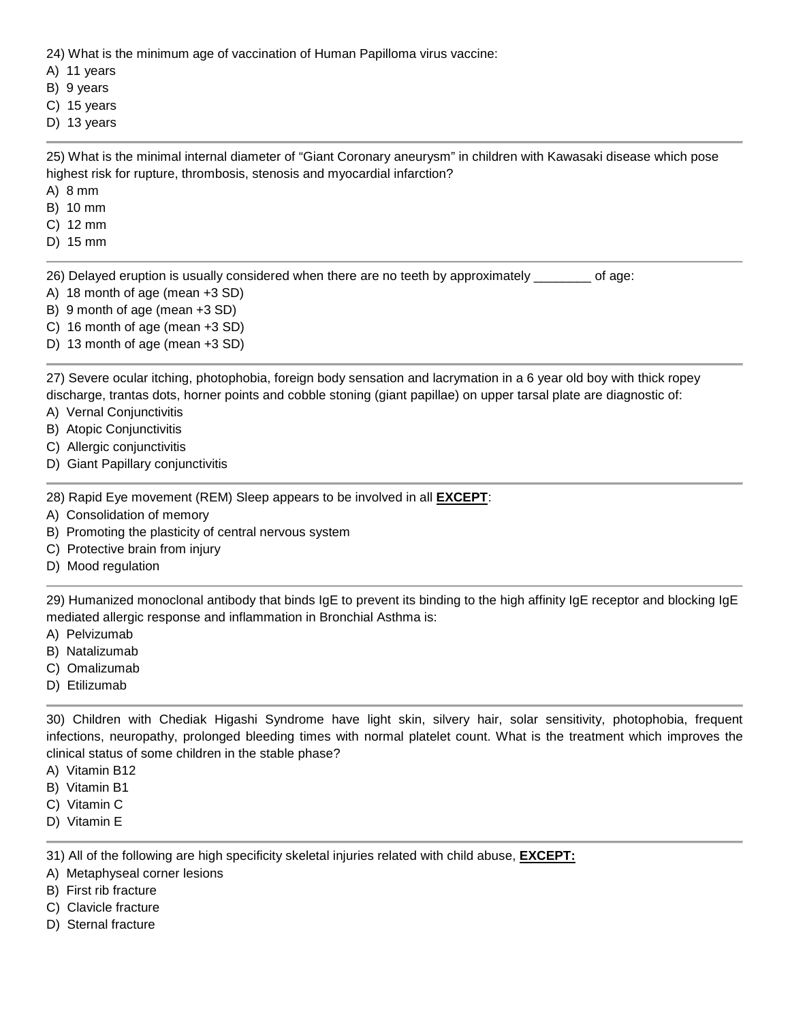24) What is the minimum age of vaccination of Human Papilloma virus vaccine:

- A) 11 years
- B) 9 years
- C) 15 years
- D) 13 years

25) What is the minimal internal diameter of "Giant Coronary aneurysm" in children with Kawasaki disease which pose highest risk for rupture, thrombosis, stenosis and myocardial infarction?

- A) 8 mm
- B) 10 mm
- C) 12 mm
- D) 15 mm

26) Delayed eruption is usually considered when there are no teeth by approximately \_\_\_\_\_\_\_\_ of age:

- A) 18 month of age (mean +3 SD)
- B) 9 month of age (mean +3 SD)
- C) 16 month of age (mean +3 SD)
- D) 13 month of age (mean +3 SD)

27) Severe ocular itching, photophobia, foreign body sensation and lacrymation in a 6 year old boy with thick ropey discharge, trantas dots, horner points and cobble stoning (giant papillae) on upper tarsal plate are diagnostic of:

- A) Vernal Conjunctivitis
- B) Atopic Conjunctivitis
- C) Allergic conjunctivitis
- D) Giant Papillary conjunctivitis

28) Rapid Eye movement (REM) Sleep appears to be involved in all **EXCEPT**:

- A) Consolidation of memory
- B) Promoting the plasticity of central nervous system
- C) Protective brain from injury
- D) Mood regulation

29) Humanized monoclonal antibody that binds IgE to prevent its binding to the high affinity IgE receptor and blocking IgE mediated allergic response and inflammation in Bronchial Asthma is:

- A) Pelvizumab
- B) Natalizumab
- C) Omalizumab
- D) Etilizumab

30) Children with Chediak Higashi Syndrome have light skin, silvery hair, solar sensitivity, photophobia, frequent infections, neuropathy, prolonged bleeding times with normal platelet count. What is the treatment which improves the clinical status of some children in the stable phase?

- A) Vitamin B12
- B) Vitamin B1
- C) Vitamin C
- D) Vitamin E

31) All of the following are high specificity skeletal injuries related with child abuse, **EXCEPT:**

- A) Metaphyseal corner lesions
- B) First rib fracture
- C) Clavicle fracture
- D) Sternal fracture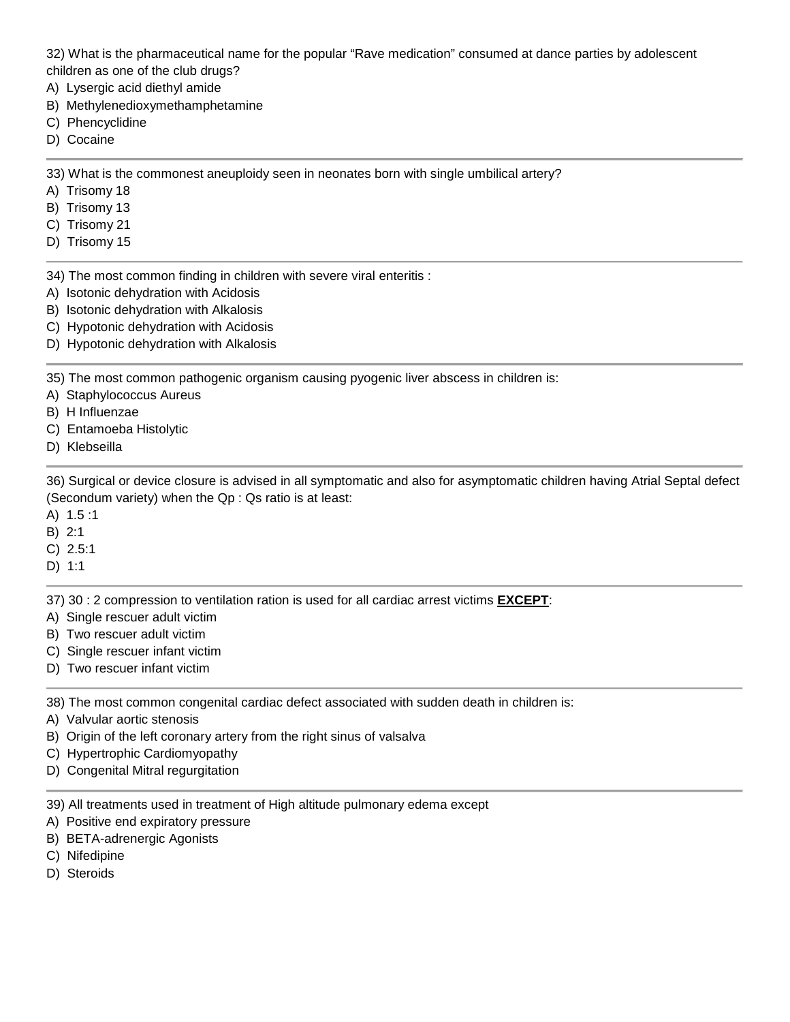32) What is the pharmaceutical name for the popular "Rave medication" consumed at dance parties by adolescent children as one of the club drugs?

- A) Lysergic acid diethyl amide
- B) Methylenedioxymethamphetamine
- C) Phencyclidine
- D) Cocaine

33) What is the commonest aneuploidy seen in neonates born with single umbilical artery?

- A) Trisomy 18
- B) Trisomy 13
- C) Trisomy 21
- D) Trisomy 15
- 34) The most common finding in children with severe viral enteritis :
- A) Isotonic dehydration with Acidosis
- B) Isotonic dehydration with Alkalosis
- C) Hypotonic dehydration with Acidosis
- D) Hypotonic dehydration with Alkalosis

35) The most common pathogenic organism causing pyogenic liver abscess in children is:

A) Staphylococcus Aureus

- B) H Influenzae
- C) Entamoeba Histolytic
- D) Klebseilla

36) Surgical or device closure is advised in all symptomatic and also for asymptomatic children having Atrial Septal defect (Secondum variety) when the Qp : Qs ratio is at least:

- A) 1.5 :1
- B) 2:1
- C) 2.5:1
- D) 1:1

37) 30 : 2 compression to ventilation ration is used for all cardiac arrest victims **EXCEPT**:

- A) Single rescuer adult victim
- B) Two rescuer adult victim
- C) Single rescuer infant victim
- D) Two rescuer infant victim

38) The most common congenital cardiac defect associated with sudden death in children is:

- A) Valvular aortic stenosis
- B) Origin of the left coronary artery from the right sinus of valsalva
- C) Hypertrophic Cardiomyopathy
- D) Congenital Mitral regurgitation

39) All treatments used in treatment of High altitude pulmonary edema except

- A) Positive end expiratory pressure
- B) BETA-adrenergic Agonists
- C) Nifedipine
- D) Steroids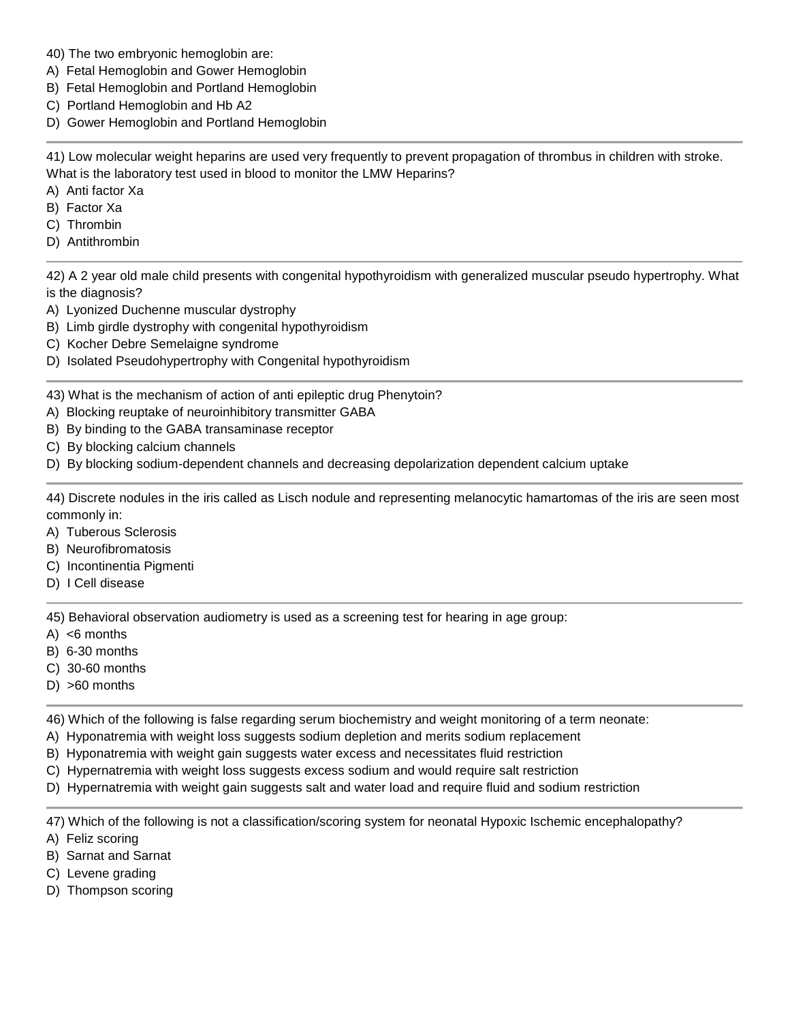- 40) The two embryonic hemoglobin are:
- A) Fetal Hemoglobin and Gower Hemoglobin
- B) Fetal Hemoglobin and Portland Hemoglobin
- C) Portland Hemoglobin and Hb A2
- D) Gower Hemoglobin and Portland Hemoglobin

41) Low molecular weight heparins are used very frequently to prevent propagation of thrombus in children with stroke. What is the laboratory test used in blood to monitor the LMW Heparins?

- A) Anti factor Xa
- B) Factor Xa
- C) Thrombin
- D) Antithrombin

42) A 2 year old male child presents with congenital hypothyroidism with generalized muscular pseudo hypertrophy. What is the diagnosis?

- A) Lyonized Duchenne muscular dystrophy
- B) Limb girdle dystrophy with congenital hypothyroidism
- C) Kocher Debre Semelaigne syndrome
- D) Isolated Pseudohypertrophy with Congenital hypothyroidism

43) What is the mechanism of action of anti epileptic drug Phenytoin?

- A) Blocking reuptake of neuroinhibitory transmitter GABA
- B) By binding to the GABA transaminase receptor
- C) By blocking calcium channels
- D) By blocking sodium-dependent channels and decreasing depolarization dependent calcium uptake

44) Discrete nodules in the iris called as Lisch nodule and representing melanocytic hamartomas of the iris are seen most commonly in:

- A) Tuberous Sclerosis
- B) Neurofibromatosis
- C) Incontinentia Pigmenti
- D) I Cell disease

45) Behavioral observation audiometry is used as a screening test for hearing in age group:

- A) <6 months
- B) 6-30 months
- C) 30-60 months
- D) >60 months

46) Which of the following is false regarding serum biochemistry and weight monitoring of a term neonate:

- A) Hyponatremia with weight loss suggests sodium depletion and merits sodium replacement
- B) Hyponatremia with weight gain suggests water excess and necessitates fluid restriction
- C) Hypernatremia with weight loss suggests excess sodium and would require salt restriction
- D) Hypernatremia with weight gain suggests salt and water load and require fluid and sodium restriction

47) Which of the following is not a classification/scoring system for neonatal Hypoxic Ischemic encephalopathy?

A) Feliz scoring

- B) Sarnat and Sarnat
- C) Levene grading
- D) Thompson scoring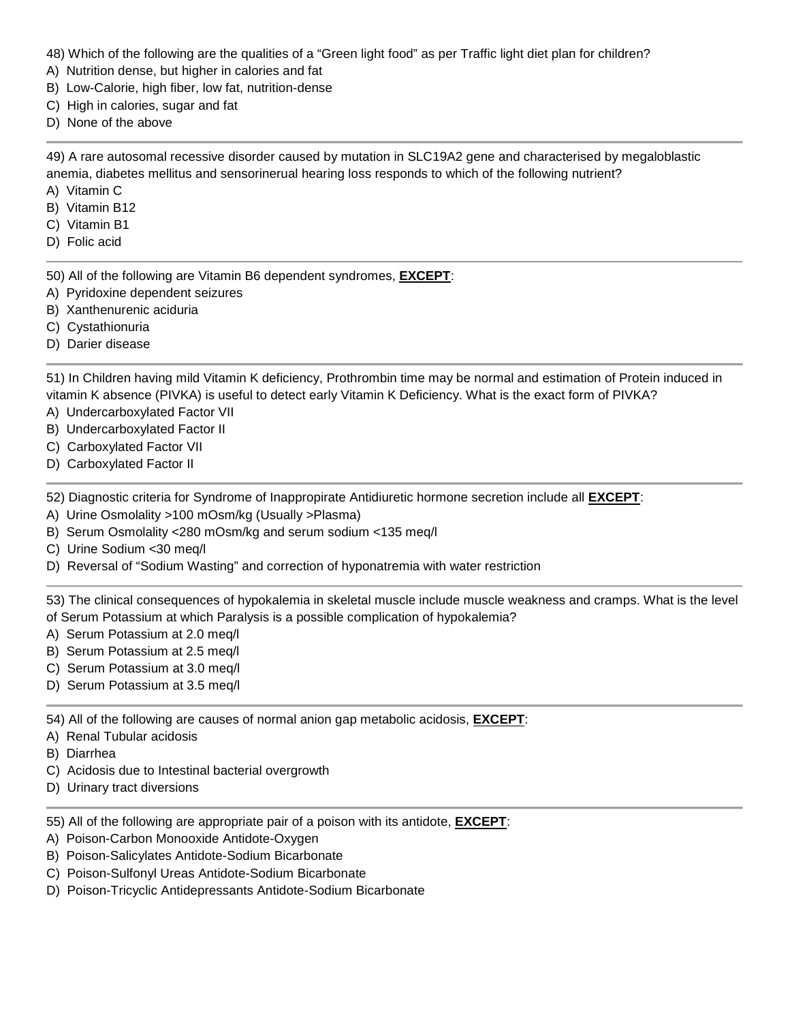- 48) Which of the following are the qualities of a "Green light food" as per Traffic light diet plan for children?
- A) Nutrition dense, but higher in calories and fat
- B) Low-Calorie, high fiber, low fat, nutrition-dense
- C) High in calories, sugar and fat
- D) None of the above

49) A rare autosomal recessive disorder caused by mutation in SLC19A2 gene and characterised by megaloblastic anemia, diabetes mellitus and sensorinerual hearing loss responds to which of the following nutrient?

- A) Vitamin C
- B) Vitamin B12
- C) Vitamin B1
- D) Folic acid

50) All of the following are Vitamin B6 dependent syndromes, **EXCEPT**:

- A) Pyridoxine dependent seizures
- B) Xanthenurenic aciduria
- C) Cystathionuria
- D) Darier disease

51) In Children having mild Vitamin K deficiency, Prothrombin time may be normal and estimation of Protein induced in vitamin K absence (PIVKA) is useful to detect early Vitamin K Deficiency. What is the exact form of PIVKA?

- A) Undercarboxylated Factor VII
- B) Undercarboxylated Factor II
- C) Carboxylated Factor VII
- D) Carboxylated Factor II

52) Diagnostic criteria for Syndrome of Inappropirate Antidiuretic hormone secretion include all **EXCEPT**:

- A) Urine Osmolality >100 mOsm/kg (Usually >Plasma)
- B) Serum Osmolality <280 mOsm/kg and serum sodium <135 meq/l
- C) Urine Sodium <30 meq/l
- D) Reversal of "Sodium Wasting" and correction of hyponatremia with water restriction

53) The clinical consequences of hypokalemia in skeletal muscle include muscle weakness and cramps. What is the level of Serum Potassium at which Paralysis is a possible complication of hypokalemia?

- A) Serum Potassium at 2.0 meq/l
- B) Serum Potassium at 2.5 meq/l
- C) Serum Potassium at 3.0 meq/l
- D) Serum Potassium at 3.5 meq/l

54) All of the following are causes of normal anion gap metabolic acidosis, **EXCEPT**:

- A) Renal Tubular acidosis
- B) Diarrhea
- C) Acidosis due to Intestinal bacterial overgrowth
- D) Urinary tract diversions
- 55) All of the following are appropriate pair of a poison with its antidote, **EXCEPT**:
- A) Poison-Carbon Monooxide Antidote-Oxygen
- B) Poison-Salicylates Antidote-Sodium Bicarbonate
- C) Poison-Sulfonyl Ureas Antidote-Sodium Bicarbonate
- D) Poison-Tricyclic Antidepressants Antidote-Sodium Bicarbonate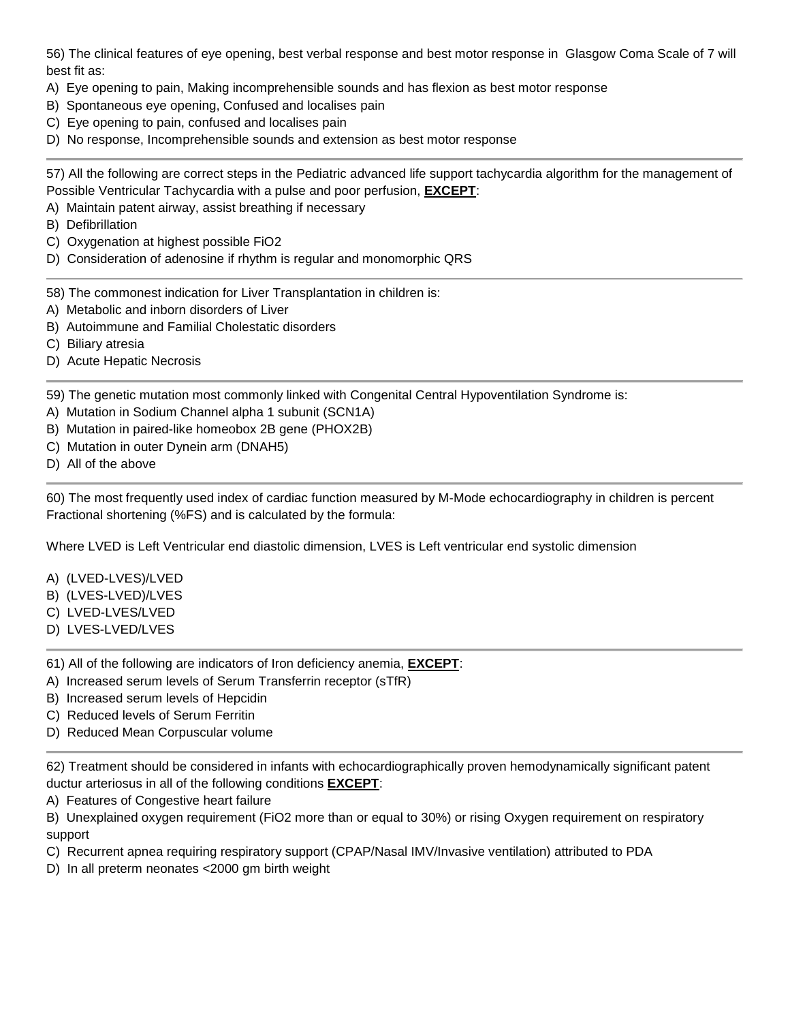56) The clinical features of eye opening, best verbal response and best motor response in Glasgow Coma Scale of 7 will best fit as:

- A) Eye opening to pain, Making incomprehensible sounds and has flexion as best motor response
- B) Spontaneous eye opening, Confused and localises pain
- C) Eye opening to pain, confused and localises pain
- D) No response, Incomprehensible sounds and extension as best motor response

57) All the following are correct steps in the Pediatric advanced life support tachycardia algorithm for the management of Possible Ventricular Tachycardia with a pulse and poor perfusion, **EXCEPT**:

- A) Maintain patent airway, assist breathing if necessary
- B) Defibrillation
- C) Oxygenation at highest possible FiO2
- D) Consideration of adenosine if rhythm is regular and monomorphic QRS

58) The commonest indication for Liver Transplantation in children is:

- A) Metabolic and inborn disorders of Liver
- B) Autoimmune and Familial Cholestatic disorders
- C) Biliary atresia
- D) Acute Hepatic Necrosis

59) The genetic mutation most commonly linked with Congenital Central Hypoventilation Syndrome is:

- A) Mutation in Sodium Channel alpha 1 subunit (SCN1A)
- B) Mutation in paired-like homeobox 2B gene (PHOX2B)
- C) Mutation in outer Dynein arm (DNAH5)
- D) All of the above

60) The most frequently used index of cardiac function measured by M-Mode echocardiography in children is percent Fractional shortening (%FS) and is calculated by the formula:

Where LVED is Left Ventricular end diastolic dimension, LVES is Left ventricular end systolic dimension

- A) (LVED-LVES)/LVED
- B) (LVES-LVED)/LVES
- C) LVED-LVES/LVED
- D) LVES-LVED/LVES
- 61) All of the following are indicators of Iron deficiency anemia, **EXCEPT**:
- A) Increased serum levels of Serum Transferrin receptor (sTfR)
- B) Increased serum levels of Hepcidin
- C) Reduced levels of Serum Ferritin
- D) Reduced Mean Corpuscular volume

62) Treatment should be considered in infants with echocardiographically proven hemodynamically significant patent ductur arteriosus in all of the following conditions **EXCEPT**:

A) Features of Congestive heart failure

B) Unexplained oxygen requirement (FiO2 more than or equal to 30%) or rising Oxygen requirement on respiratory support

C) Recurrent apnea requiring respiratory support (CPAP/Nasal IMV/Invasive ventilation) attributed to PDA

D) In all preterm neonates <2000 gm birth weight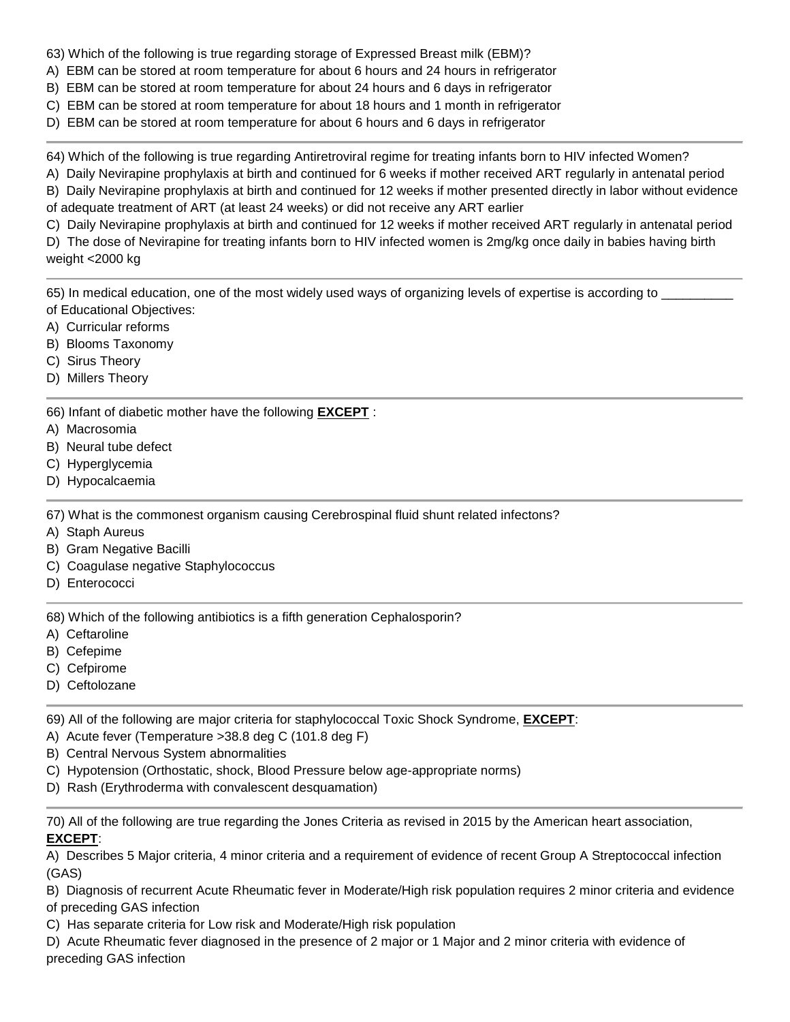63) Which of the following is true regarding storage of Expressed Breast milk (EBM)?

- A) EBM can be stored at room temperature for about 6 hours and 24 hours in refrigerator
- B) EBM can be stored at room temperature for about 24 hours and 6 days in refrigerator
- C) EBM can be stored at room temperature for about 18 hours and 1 month in refrigerator
- D) EBM can be stored at room temperature for about 6 hours and 6 days in refrigerator

64) Which of the following is true regarding Antiretroviral regime for treating infants born to HIV infected Women?

A) Daily Nevirapine prophylaxis at birth and continued for 6 weeks if mother received ART regularly in antenatal period

B) Daily Nevirapine prophylaxis at birth and continued for 12 weeks if mother presented directly in labor without evidence of adequate treatment of ART (at least 24 weeks) or did not receive any ART earlier

C) Daily Nevirapine prophylaxis at birth and continued for 12 weeks if mother received ART regularly in antenatal period

D) The dose of Nevirapine for treating infants born to HIV infected women is 2mg/kg once daily in babies having birth weight <2000 kg

65) In medical education, one of the most widely used ways of organizing levels of expertise is according to of Educational Objectives:

- A) Curricular reforms
- B) Blooms Taxonomy
- C) Sirus Theory
- D) Millers Theory

66) Infant of diabetic mother have the following **EXCEPT** :

- A) Macrosomia
- B) Neural tube defect
- C) Hyperglycemia
- D) Hypocalcaemia

67) What is the commonest organism causing Cerebrospinal fluid shunt related infectons?

- A) Staph Aureus
- B) Gram Negative Bacilli
- C) Coagulase negative Staphylococcus
- D) Enterococci

68) Which of the following antibiotics is a fifth generation Cephalosporin?

- A) Ceftaroline
- B) Cefepime
- C) Cefpirome
- D) Ceftolozane

69) All of the following are major criteria for staphylococcal Toxic Shock Syndrome, **EXCEPT**:

- A) Acute fever (Temperature >38.8 deg C (101.8 deg F)
- B) Central Nervous System abnormalities
- C) Hypotension (Orthostatic, shock, Blood Pressure below age-appropriate norms)
- D) Rash (Erythroderma with convalescent desquamation)

70) All of the following are true regarding the Jones Criteria as revised in 2015 by the American heart association, **EXCEPT**:

A) Describes 5 Major criteria, 4 minor criteria and a requirement of evidence of recent Group A Streptococcal infection (GAS)

B) Diagnosis of recurrent Acute Rheumatic fever in Moderate/High risk population requires 2 minor criteria and evidence of preceding GAS infection

C) Has separate criteria for Low risk and Moderate/High risk population

D) Acute Rheumatic fever diagnosed in the presence of 2 major or 1 Major and 2 minor criteria with evidence of preceding GAS infection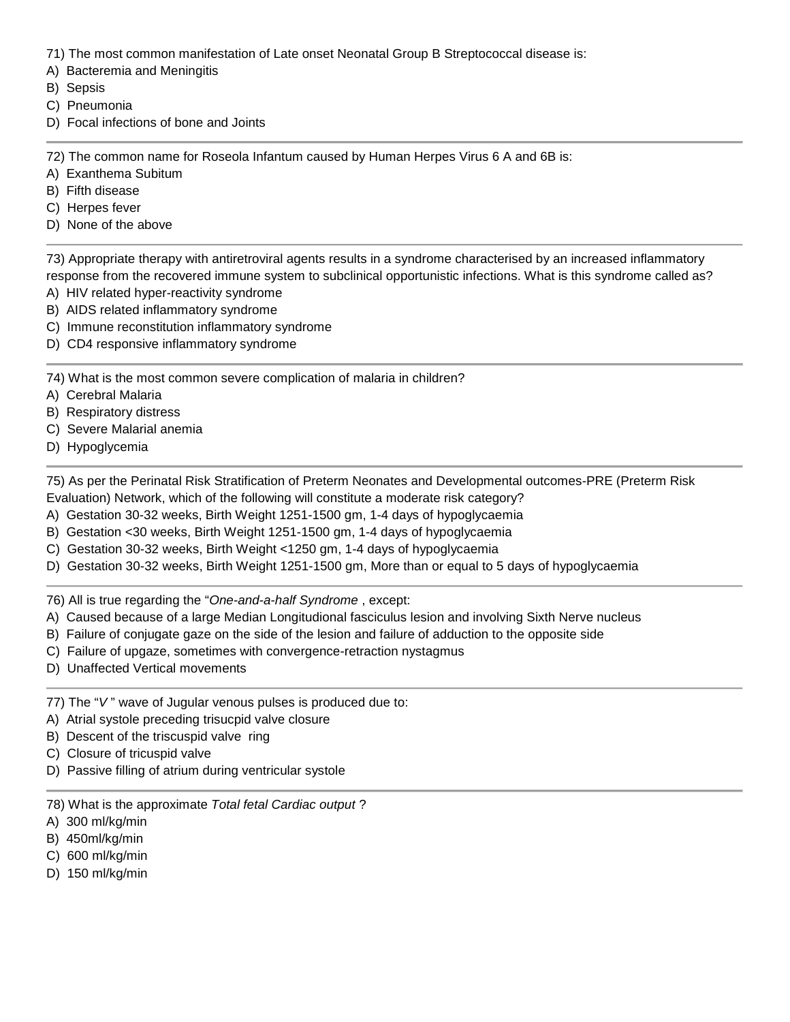- 71) The most common manifestation of Late onset Neonatal Group B Streptococcal disease is:
- A) Bacteremia and Meningitis
- B) Sepsis
- C) Pneumonia
- D) Focal infections of bone and Joints

72) The common name for Roseola Infantum caused by Human Herpes Virus 6 A and 6B is:

- A) Exanthema Subitum
- B) Fifth disease
- C) Herpes fever
- D) None of the above

73) Appropriate therapy with antiretroviral agents results in a syndrome characterised by an increased inflammatory response from the recovered immune system to subclinical opportunistic infections. What is this syndrome called as?

- A) HIV related hyper-reactivity syndrome
- B) AIDS related inflammatory syndrome
- C) Immune reconstitution inflammatory syndrome
- D) CD4 responsive inflammatory syndrome

74) What is the most common severe complication of malaria in children?

- A) Cerebral Malaria
- B) Respiratory distress
- C) Severe Malarial anemia
- D) Hypoglycemia

75) As per the Perinatal Risk Stratification of Preterm Neonates and Developmental outcomes-PRE (Preterm Risk Evaluation) Network, which of the following will constitute a moderate risk category?

- A) Gestation 30-32 weeks, Birth Weight 1251-1500 gm, 1-4 days of hypoglycaemia
- B) Gestation <30 weeks, Birth Weight 1251-1500 gm, 1-4 days of hypoglycaemia
- C) Gestation 30-32 weeks, Birth Weight <1250 gm, 1-4 days of hypoglycaemia
- D) Gestation 30-32 weeks, Birth Weight 1251-1500 gm, More than or equal to 5 days of hypoglycaemia

76) All is true regarding the "*One-and-a-half Syndrome* , except:

- A) Caused because of a large Median Longitudional fasciculus lesion and involving Sixth Nerve nucleus
- B) Failure of conjugate gaze on the side of the lesion and failure of adduction to the opposite side
- C) Failure of upgaze, sometimes with convergence-retraction nystagmus
- D) Unaffected Vertical movements
- 77) The "*V* " wave of Jugular venous pulses is produced due to:
- A) Atrial systole preceding trisucpid valve closure
- B) Descent of the triscuspid valve ring
- C) Closure of tricuspid valve
- D) Passive filling of atrium during ventricular systole
- 78) What is the approximate *Total fetal Cardiac output* ?
- A) 300 ml/kg/min
- B) 450ml/kg/min
- C) 600 ml/kg/min
- D) 150 ml/kg/min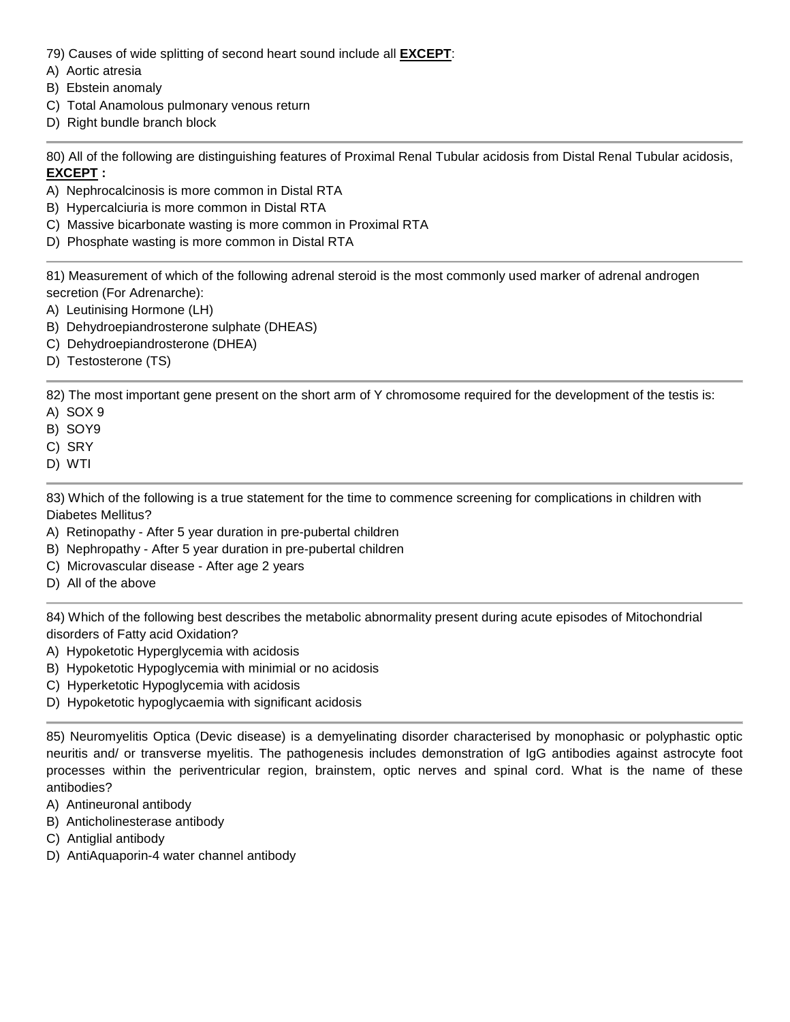- 79) Causes of wide splitting of second heart sound include all **EXCEPT**:
- A) Aortic atresia
- B) Ebstein anomaly
- C) Total Anamolous pulmonary venous return
- D) Right bundle branch block

80) All of the following are distinguishing features of Proximal Renal Tubular acidosis from Distal Renal Tubular acidosis, **EXCEPT :**

- A) Nephrocalcinosis is more common in Distal RTA
- B) Hypercalciuria is more common in Distal RTA
- C) Massive bicarbonate wasting is more common in Proximal RTA
- D) Phosphate wasting is more common in Distal RTA

81) Measurement of which of the following adrenal steroid is the most commonly used marker of adrenal androgen secretion (For Adrenarche):

- A) Leutinising Hormone (LH)
- B) Dehydroepiandrosterone sulphate (DHEAS)
- C) Dehydroepiandrosterone (DHEA)
- D) Testosterone (TS)

82) The most important gene present on the short arm of Y chromosome required for the development of the testis is:

- A) SOX 9
- B) SOY9
- C) SRY
- D) WTI

83) Which of the following is a true statement for the time to commence screening for complications in children with Diabetes Mellitus?

- A) Retinopathy After 5 year duration in pre-pubertal children
- B) Nephropathy After 5 year duration in pre-pubertal children
- C) Microvascular disease After age 2 years
- D) All of the above

84) Which of the following best describes the metabolic abnormality present during acute episodes of Mitochondrial disorders of Fatty acid Oxidation?

- A) Hypoketotic Hyperglycemia with acidosis
- B) Hypoketotic Hypoglycemia with minimial or no acidosis
- C) Hyperketotic Hypoglycemia with acidosis
- D) Hypoketotic hypoglycaemia with significant acidosis

85) Neuromyelitis Optica (Devic disease) is a demyelinating disorder characterised by monophasic or polyphastic optic neuritis and/ or transverse myelitis. The pathogenesis includes demonstration of IgG antibodies against astrocyte foot processes within the periventricular region, brainstem, optic nerves and spinal cord. What is the name of these antibodies?

- A) Antineuronal antibody
- B) Anticholinesterase antibody
- C) Antiglial antibody
- D) AntiAquaporin-4 water channel antibody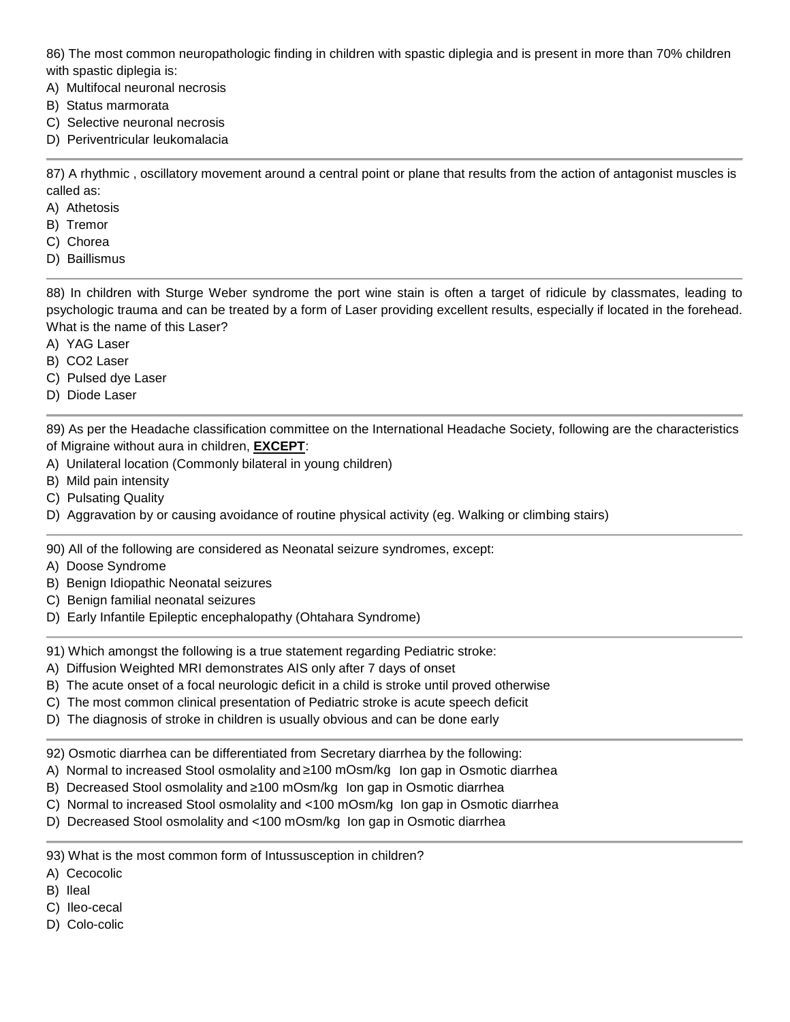86) The most common neuropathologic finding in children with spastic diplegia and is present in more than 70% children with spastic diplegia is:

- A) Multifocal neuronal necrosis
- B) Status marmorata
- C) Selective neuronal necrosis
- D) Periventricular leukomalacia

87) A rhythmic , oscillatory movement around a central point or plane that results from the action of antagonist muscles is called as:

- A) Athetosis
- B) Tremor
- C) Chorea
- D) Baillismus

88) In children with Sturge Weber syndrome the port wine stain is often a target of ridicule by classmates, leading to psychologic trauma and can be treated by a form of Laser providing excellent results, especially if located in the forehead. What is the name of this Laser?

- A) YAG Laser
- B) CO2 Laser
- C) Pulsed dye Laser
- D) Diode Laser

89) As per the Headache classification committee on the International Headache Society, following are the characteristics of Migraine without aura in children, **EXCEPT**:

- A) Unilateral location (Commonly bilateral in young children)
- B) Mild pain intensity
- C) Pulsating Quality
- D) Aggravation by or causing avoidance of routine physical activity (eg. Walking or climbing stairs)

90) All of the following are considered as Neonatal seizure syndromes, except:

- A) Doose Syndrome
- B) Benign Idiopathic Neonatal seizures
- C) Benign familial neonatal seizures
- D) Early Infantile Epileptic encephalopathy (Ohtahara Syndrome)

91) Which amongst the following is a true statement regarding Pediatric stroke:

- A) Diffusion Weighted MRI demonstrates AIS only after 7 days of onset
- B) The acute onset of a focal neurologic deficit in a child is stroke until proved otherwise
- C) The most common clinical presentation of Pediatric stroke is acute speech deficit
- D) The diagnosis of stroke in children is usually obvious and can be done early

92) Osmotic diarrhea can be differentiated from Secretary diarrhea by the following:

- A) Normal to increased Stool osmolality and  $100$  mOsm/kg Ion gap in Osmotic diarrhea
- B) Decreased Stool osmolality and 100 mOsm/kg Ion gap in Osmotic diarrhea
- C) Normal to increased Stool osmolality and <100 mOsm/kg Ion gap in Osmotic diarrhea
- D) Decreased Stool osmolality and <100 mOsm/kg Ion gap in Osmotic diarrhea

93) What is the most common form of Intussusception in children?

- A) Cecocolic
- B) Ileal
- C) Ileo-cecal
- D) Colo-colic